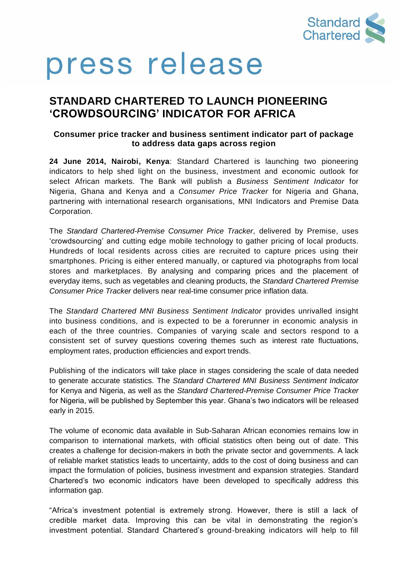

# press release

### **STANDARD CHARTERED TO LAUNCH PIONEERING 'CROWDSOURCING' INDICATOR FOR AFRICA**

#### **Consumer price tracker and business sentiment indicator part of package to address data gaps across region**

**24 June 2014, Nairobi, Kenya**: Standard Chartered is launching two pioneering indicators to help shed light on the business, investment and economic outlook for select African markets. The Bank will publish a *Business Sentiment Indicator* for Nigeria, Ghana and Kenya and a *Consumer Price Tracker* for Nigeria and Ghana, partnering with international research organisations, MNI Indicators and Premise Data Corporation.

The *Standard Chartered-Premise Consumer Price Tracker*, delivered by Premise, uses 'crowdsourcing' and cutting edge mobile technology to gather pricing of local products. Hundreds of local residents across cities are recruited to capture prices using their smartphones. Pricing is either entered manually, or captured via photographs from local stores and marketplaces. By analysing and comparing prices and the placement of everyday items, such as vegetables and cleaning products, the *Standard Chartered Premise Consumer Price Tracker* delivers near real-time consumer price inflation data.

The *Standard Chartered MNI Business Sentiment Indicator* provides unrivalled insight into business conditions, and is expected to be a forerunner in economic analysis in each of the three countries. Companies of varying scale and sectors respond to a consistent set of survey questions covering themes such as interest rate fluctuations, employment rates, production efficiencies and export trends.

Publishing of the indicators will take place in stages considering the scale of data needed to generate accurate statistics. The *Standard Chartered MNI Business Sentiment Indicator* for Kenya and Nigeria, as well as the *Standard Chartered-Premise Consumer Price Tracker* for Nigeria, will be published by September this year. Ghana's two indicators will be released early in 2015.

The volume of economic data available in Sub-Saharan African economies remains low in comparison to international markets, with official statistics often being out of date. This creates a challenge for decision-makers in both the private sector and governments. A lack of reliable market statistics leads to uncertainty, adds to the cost of doing business and can impact the formulation of policies, business investment and expansion strategies. Standard Chartered's two economic indicators have been developed to specifically address this information gap.

"Africa's investment potential is extremely strong. However, there is still a lack of credible market data. Improving this can be vital in demonstrating the region's investment potential. Standard Chartered's ground-breaking indicators will help to fill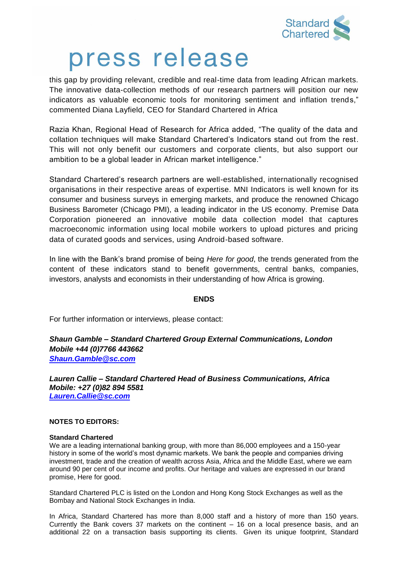

## press release

this gap by providing relevant, credible and real-time data from leading African markets. The innovative data-collection methods of our research partners will position our new indicators as valuable economic tools for monitoring sentiment and inflation trends," commented Diana Layfield, CEO for Standard Chartered in Africa

Razia Khan, Regional Head of Research for Africa added, "The quality of the data and collation techniques will make Standard Chartered's Indicators stand out from the rest. This will not only benefit our customers and corporate clients, but also support our ambition to be a global leader in African market intelligence."

Standard Chartered's research partners are well-established, internationally recognised organisations in their respective areas of expertise. MNI Indicators is well known for its consumer and business surveys in emerging markets, and produce the renowned Chicago Business Barometer (Chicago PMI), a leading indicator in the US economy. Premise Data Corporation pioneered an innovative mobile data collection model that captures macroeconomic information using local mobile workers to upload pictures and pricing data of curated goods and services, using Android-based software.

In line with the Bank's brand promise of being *Here for good*, the trends generated from the content of these indicators stand to benefit governments, central banks, companies, investors, analysts and economists in their understanding of how Africa is growing.

#### **ENDS**

For further information or interviews, please contact:

*Shaun Gamble – Standard Chartered Group External Communications, London Mobile +44 (0)7766 443662 [Shaun.Gamble@sc.com](mailto:Shaun.Gamble@sc.com)*

*Lauren Callie – Standard Chartered Head of Business Communications, Africa Mobile: +27 (0)82 894 5581 [Lauren.Callie@sc.com](mailto:Lauren.Callie@sc.com)*

#### **NOTES TO EDITORS:**

#### **Standard Chartered**

We are a leading international banking group, with more than 86,000 employees and a 150-year history in some of the world's most dynamic markets. We bank the people and companies driving investment, trade and the creation of wealth across Asia, Africa and the Middle East, where we earn around 90 per cent of our income and profits. Our heritage and values are expressed in our brand promise, Here for good.

Standard Chartered PLC is listed on the London and Hong Kong Stock Exchanges as well as the Bombay and National Stock Exchanges in India.

In Africa, Standard Chartered has more than 8,000 staff and a history of more than 150 years. Currently the Bank covers 37 markets on the continent – 16 on a local presence basis, and an additional 22 on a transaction basis supporting its clients. Given its unique footprint, Standard